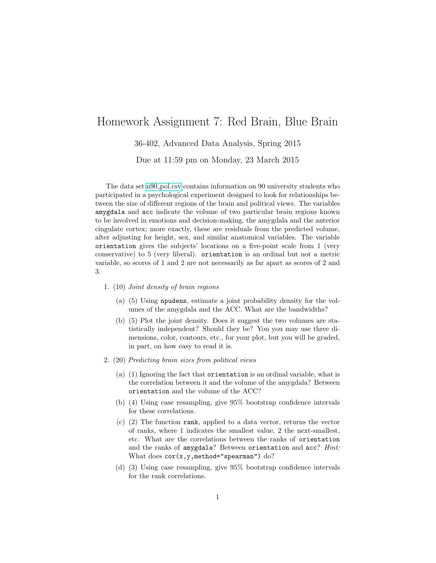## Homework Assignment 7: Red Brain, Blue Brain

36-402, Advanced Data Analysis, Spring 2015

Due at 11:59 pm on Monday, 23 March 2015

The data set n90 [pol.csv](http://www.stat.cmu.edu/~cshalizi/uADA/15/hw/07/n90_pol.csv) contains information on 90 university students who participated in a psychological experiment designed to look for relationships between the size of different regions of the brain and political views. The variables amygdala and acc indicate the volume of two particular brain regions known to be involved in emotions and decision-making, the amygdala and the anterior cingulate cortex; more exactly, these are residuals from the predicted volume, after adjusting for height, sex, and similar anatomical variables. The variable orientation gives the subjects' locations on a five-point scale from 1 (very conservative) to 5 (very liberal). orientation is an ordinal but not a metric variable, so scores of 1 and 2 are not necessarily as far apart as scores of 2 and 3.

- 1. (10) Joint density of brain regions
	- (a) (5) Using npudens, estimate a joint probability density for the volumes of the amygdala and the ACC. What are the bandwidths?
	- (b) (5) Plot the joint density. Does it suggest the two volumes are statistically independent? Should they be? You you may use three dimensions, color, contours, etc., for your plot, but you will be graded, in part, on how easy to read it is.
- 2. (20) Predicting brain sizes from political views
	- (a) (1) Ignoring the fact that orientation is an ordinal variable, what is the correlation between it and the volume of the amygdala? Between orientation and the volume of the ACC?
	- (b) (4) Using case resampling, give 95% bootstrap confidence intervals for these correlations.
	- (c) (2) The function rank, applied to a data vector, returns the vector of ranks, where 1 indicates the smallest value, 2 the next-smallest, etc. What are the correlations between the ranks of orientation and the ranks of amygdala? Between orientation and acc? Hint: What does  $cor(x, y, \text{method="span's}$
	- (d) (3) Using case resampling, give 95% bootstrap confidence intervals for the rank correlations.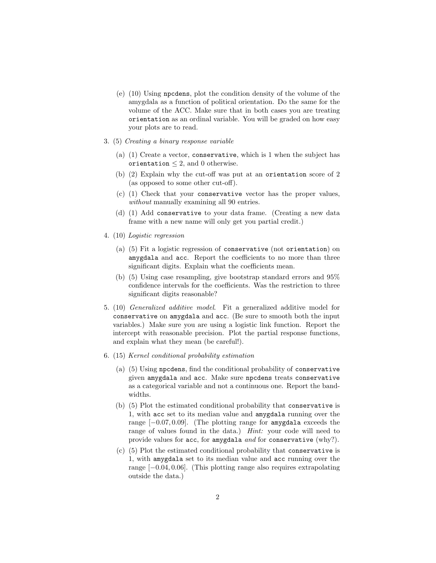- (e) (10) Using npcdens, plot the condition density of the volume of the amygdala as a function of political orientation. Do the same for the volume of the ACC. Make sure that in both cases you are treating orientation as an ordinal variable. You will be graded on how easy your plots are to read.
- 3. (5) Creating a binary response variable
	- (a) (1) Create a vector, conservative, which is 1 when the subject has orientation  $\leq$  2, and 0 otherwise.
	- (b) (2) Explain why the cut-off was put at an orientation score of 2 (as opposed to some other cut-off).
	- (c) (1) Check that your conservative vector has the proper values, without manually examining all 90 entries.
	- (d) (1) Add conservative to your data frame. (Creating a new data frame with a new name will only get you partial credit.)
- <span id="page-1-0"></span>4. (10) Logistic regression
	- (a) (5) Fit a logistic regression of conservative (not orientation) on amygdala and acc. Report the coefficients to no more than three significant digits. Explain what the coefficients mean.
	- (b) (5) Using case resampling, give bootstrap standard errors and 95% confidence intervals for the coefficients. Was the restriction to three significant digits reasonable?
- 5. (10) Generalized additive model. Fit a generalized additive model for conservative on amygdala and acc. (Be sure to smooth both the input variables.) Make sure you are using a logistic link function. Report the intercept with reasonable precision. Plot the partial response functions, and explain what they mean (be careful!).
- <span id="page-1-1"></span>6. (15) Kernel conditional probability estimation
	- (a) (5) Using npcdens, find the conditional probability of conservative given amygdala and acc. Make sure npcdens treats conservative as a categorical variable and not a continuous one. Report the bandwidths.
	- (b) (5) Plot the estimated conditional probability that conservative is 1, with acc set to its median value and amygdala running over the range [−0.07, 0.09]. (The plotting range for amygdala exceeds the range of values found in the data.) *Hint*: your code will need to provide values for acc, for amygdala and for conservative (why?).
	- (c) (5) Plot the estimated conditional probability that conservative is 1, with amygdala set to its median value and acc running over the range [−0.04, 0.06]. (This plotting range also requires extrapolating outside the data.)